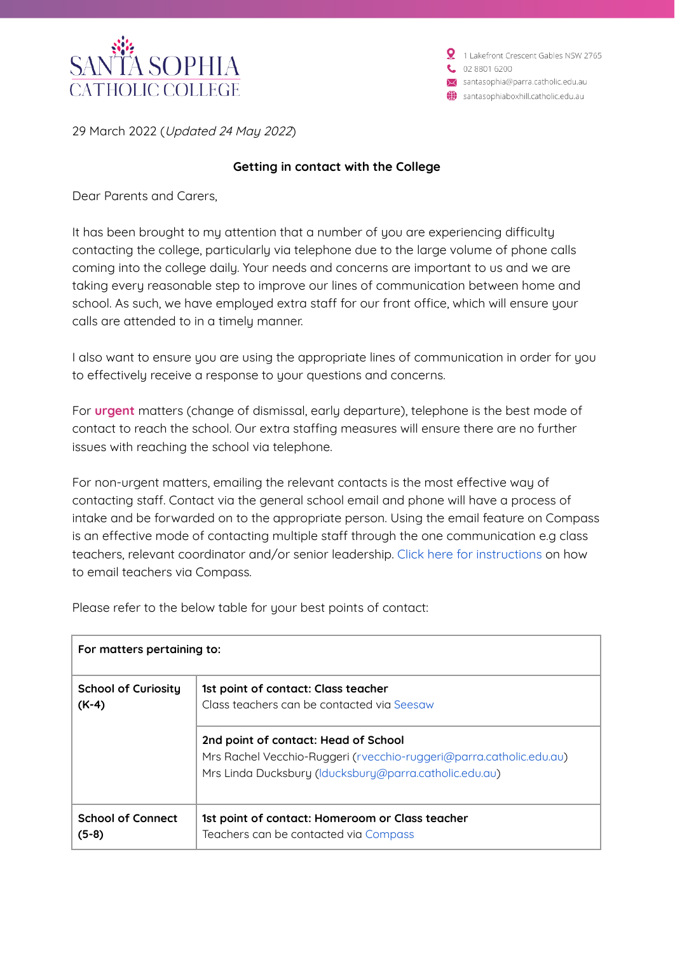

1 Lakefront Crescent Gables NSW 2765 02 8801 6200 santasophia@parra.catholic.edu.au santasophiaboxhill.catholic.edu.au

29 March 2022 (Updated 24 May 2022)

## **Getting in contact with the College**

Dear Parents and Carers,

It has been brought to my attention that a number of you are experiencing difficulty contacting the college, particularly via telephone due to the large volume of phone calls coming into the college daily. Your needs and concerns are important to us and we are taking every reasonable step to improve our lines of communication between home and school. As such, we have employed extra staff for our front office, which will ensure your calls are attended to in a timely manner.

I also want to ensure you are using the appropriate lines of communication in order for you to effectively receive a response to your questions and concerns.

For **urgent** matters (change of dismissal, early departure), telephone is the best mode of contact to reach the school. Our extra staffing measures will ensure there are no further issues with reaching the school via telephone.

For non-urgent matters, emailing the relevant contacts is the most effective way of contacting staff. Contact via the general school email and phone will have a process of intake and be forwarded on to the appropriate person. Using the email feature on Compass is an effective mode of contacting multiple staff through the one communication e.g class teachers, relevant coordinator and/or senior leadership. Click here for [instructions](https://docs.google.com/presentation/d/e/2PACX-1vRLy-54e6Fluvn1m5SMTiJLBK5NkpbsK3vCpu4752SUf0EYBV7rwKjeGOgtC_JBN2f3Vas5GJpCsGiY/pub?start=false&loop=false) on how to email teachers via Compass.

Please refer to the below table for your best points of contact:

| For matters pertaining to: |                                                                                                                                                                       |
|----------------------------|-----------------------------------------------------------------------------------------------------------------------------------------------------------------------|
| <b>School of Curiosity</b> | 1st point of contact: Class teacher                                                                                                                                   |
| $(K-4)$                    | Class teachers can be contacted via Seesaw                                                                                                                            |
|                            | 2nd point of contact: Head of School<br>Mrs Rachel Vecchio-Ruggeri (rvecchio-ruggeri@parra.catholic.edu.au)<br>Mrs Linda Ducksbury (Iducksbury@parra.catholic.edu.au) |
| <b>School of Connect</b>   | 1st point of contact: Homeroom or Class teacher                                                                                                                       |
| $(5-8)$                    | Teachers can be contacted via Compass                                                                                                                                 |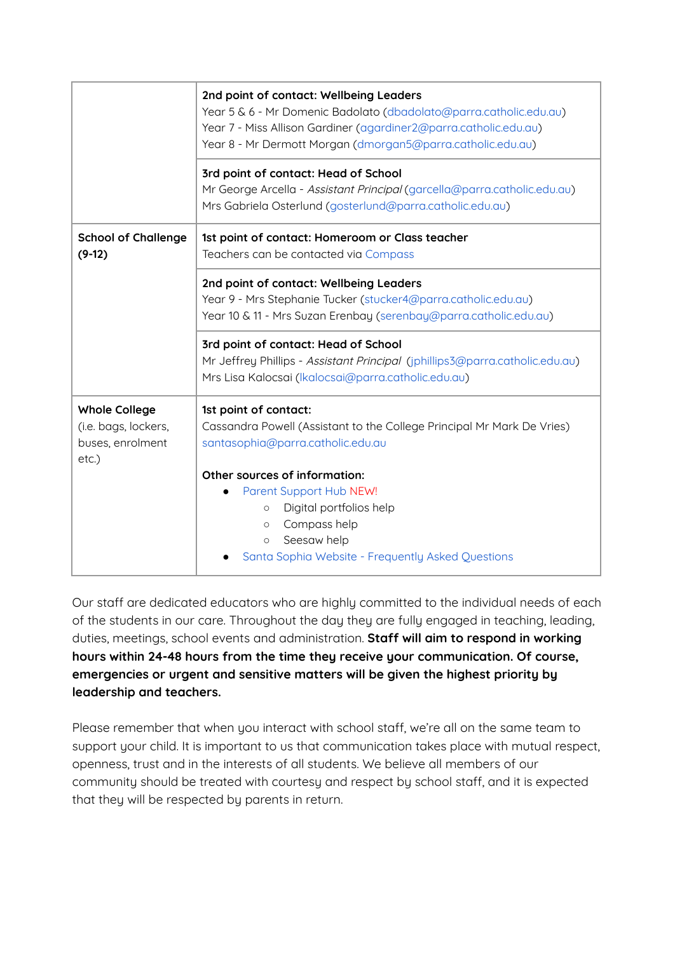|                                                      | 2nd point of contact: Wellbeing Leaders<br>Year 5 & 6 - Mr Domenic Badolato (dbadolato@parra.catholic.edu.au)<br>Year 7 - Miss Allison Gardiner (agardiner2@parra.catholic.edu.au)<br>Year 8 - Mr Dermott Morgan (dmorgan5@parra.catholic.edu.au) |
|------------------------------------------------------|---------------------------------------------------------------------------------------------------------------------------------------------------------------------------------------------------------------------------------------------------|
|                                                      | 3rd point of contact: Head of School                                                                                                                                                                                                              |
|                                                      | Mr George Arcella - Assistant Principal (garcella@parra.catholic.edu.au)<br>Mrs Gabriela Osterlund (gosterlund@parra.catholic.edu.au)                                                                                                             |
| <b>School of Challenge</b><br>$(9-12)$               | 1st point of contact: Homeroom or Class teacher<br>Teachers can be contacted via Compass                                                                                                                                                          |
|                                                      | 2nd point of contact: Wellbeing Leaders<br>Year 9 - Mrs Stephanie Tucker (stucker4@parra.catholic.edu.au)<br>Year 10 & 11 - Mrs Suzan Erenbay (serenbay@parra.catholic.edu.au)                                                                    |
|                                                      | 3rd point of contact: Head of School<br>Mr Jeffrey Phillips - Assistant Principal (jphillips3@parra.catholic.edu.au)<br>Mrs Lisa Kalocsai (Ikalocsai@parra.catholic.edu.au)                                                                       |
| <b>Whole College</b>                                 | 1st point of contact:                                                                                                                                                                                                                             |
| (i.e. bags, lockers,<br>buses, enrolment<br>$etc.$ ) | Cassandra Powell (Assistant to the College Principal Mr Mark De Vries)<br>santasophia@parra.catholic.edu.au                                                                                                                                       |
|                                                      | Other sources of information:                                                                                                                                                                                                                     |
|                                                      | Parent Support Hub NEW!                                                                                                                                                                                                                           |
|                                                      | Digital portfolios help<br>$\circ$<br>Compass help<br>$\circ$                                                                                                                                                                                     |
|                                                      | Seesaw help<br>$\circ$                                                                                                                                                                                                                            |
|                                                      | Santa Sophia Website - Frequently Asked Questions                                                                                                                                                                                                 |

Our staff are dedicated educators who are highly committed to the individual needs of each of the students in our care. Throughout the day they are fully engaged in teaching, leading, duties, meetings, school events and administration. **Staff will aim to respond in working hours within 24-48 hours from the time they receive your communication. Of course, emergencies or urgent and sensitive matters will be given the highest priority by leadership and teachers.**

Please remember that when you interact with school staff, we're all on the same team to support your child. It is important to us that communication takes place with mutual respect, openness, trust and in the interests of all students. We believe all members of our community should be treated with courtesy and respect by school staff, and it is expected that they will be respected by parents in return.